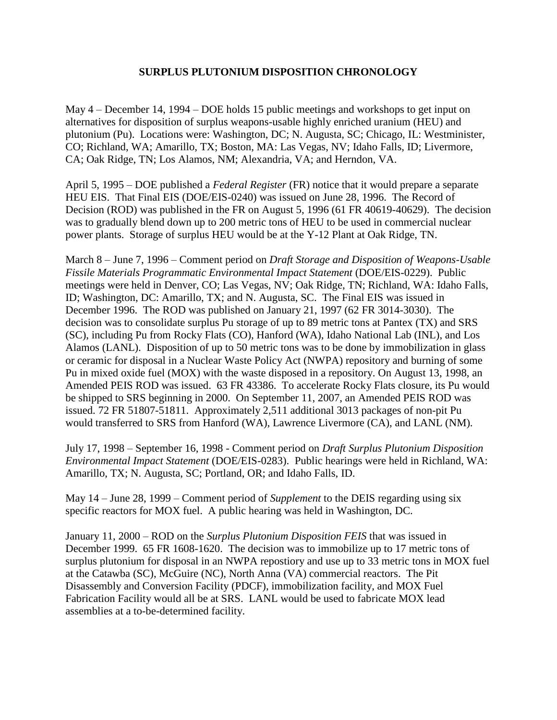## **SURPLUS PLUTONIUM DISPOSITION CHRONOLOGY**

May 4 – December 14, 1994 – DOE holds 15 public meetings and workshops to get input on alternatives for disposition of surplus weapons-usable highly enriched uranium (HEU) and plutonium (Pu). Locations were: Washington, DC; N. Augusta, SC; Chicago, IL: Westminister, CO; Richland, WA; Amarillo, TX; Boston, MA: Las Vegas, NV; Idaho Falls, ID; Livermore, CA; Oak Ridge, TN; Los Alamos, NM; Alexandria, VA; and Herndon, VA.

April 5, 1995 – DOE published a *Federal Register* (FR) notice that it would prepare a separate HEU EIS. That Final EIS (DOE/EIS-0240) was issued on June 28, 1996. The Record of Decision (ROD) was published in the FR on August 5, 1996 (61 FR 40619-40629). The decision was to gradually blend down up to 200 metric tons of HEU to be used in commercial nuclear power plants. Storage of surplus HEU would be at the Y-12 Plant at Oak Ridge, TN.

March 8 – June 7, 1996 – Comment period on *Draft Storage and Disposition of Weapons-Usable Fissile Materials Programmatic Environmental Impact Statement* (DOE/EIS-0229). Public meetings were held in Denver, CO; Las Vegas, NV; Oak Ridge, TN; Richland, WA: Idaho Falls, ID; Washington, DC: Amarillo, TX; and N. Augusta, SC. The Final EIS was issued in December 1996. The ROD was published on January 21, 1997 (62 FR 3014-3030). The decision was to consolidate surplus Pu storage of up to 89 metric tons at Pantex (TX) and SRS (SC), including Pu from Rocky Flats (CO), Hanford (WA), Idaho National Lab (INL), and Los Alamos (LANL). Disposition of up to 50 metric tons was to be done by immobilization in glass or ceramic for disposal in a Nuclear Waste Policy Act (NWPA) repository and burning of some Pu in mixed oxide fuel (MOX) with the waste disposed in a repository. On August 13, 1998, an Amended PEIS ROD was issued. 63 FR 43386. To accelerate Rocky Flats closure, its Pu would be shipped to SRS beginning in 2000. On September 11, 2007, an Amended PEIS ROD was issued. 72 FR 51807-51811. Approximately 2,511 additional 3013 packages of non-pit Pu would transferred to SRS from Hanford (WA), Lawrence Livermore (CA), and LANL (NM).

July 17, 1998 – September 16, 1998 - Comment period on *Draft Surplus Plutonium Disposition Environmental Impact Statement* (DOE/EIS-0283). Public hearings were held in Richland, WA: Amarillo, TX; N. Augusta, SC; Portland, OR; and Idaho Falls, ID.

May 14 – June 28, 1999 – Comment period of *Supplement* to the DEIS regarding using six specific reactors for MOX fuel. A public hearing was held in Washington, DC.

January 11, 2000 – ROD on the *Surplus Plutonium Disposition FEIS* that was issued in December 1999. 65 FR 1608-1620. The decision was to immobilize up to 17 metric tons of surplus plutonium for disposal in an NWPA repostiory and use up to 33 metric tons in MOX fuel at the Catawba (SC), McGuire (NC), North Anna (VA) commercial reactors. The Pit Disassembly and Conversion Facility (PDCF), immobilization facility, and MOX Fuel Fabrication Facility would all be at SRS. LANL would be used to fabricate MOX lead assemblies at a to-be-determined facility.